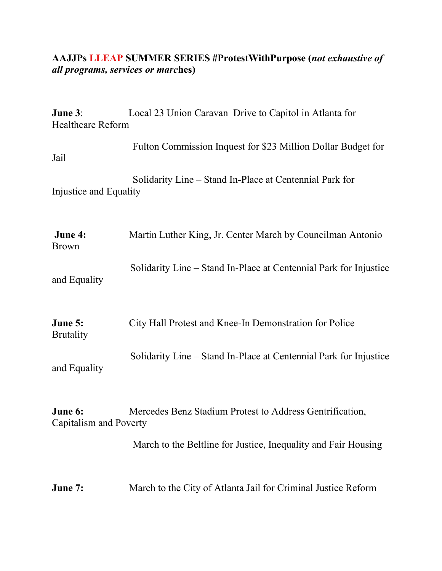## **AAJJPs LLEAP SUMMER SERIES #ProtestWithPurpose (***not exhaustive of all programs, services or marc***hes)**

| June 3:<br><b>Healthcare Reform</b> | Local 23 Union Caravan Drive to Capitol in Atlanta for            |
|-------------------------------------|-------------------------------------------------------------------|
| Jail                                | Fulton Commission Inquest for \$23 Million Dollar Budget for      |
| Injustice and Equality              | Solidarity Line – Stand In-Place at Centennial Park for           |
| June 4:<br><b>Brown</b>             | Martin Luther King, Jr. Center March by Councilman Antonio        |
| and Equality                        | Solidarity Line – Stand In-Place at Centennial Park for Injustice |
| June 5:<br><b>Brutality</b>         | City Hall Protest and Knee-In Demonstration for Police            |
| and Equality                        | Solidarity Line – Stand In-Place at Centennial Park for Injustice |
| June 6:<br>Capitalism and Poverty   | Mercedes Benz Stadium Protest to Address Gentrification,          |
|                                     | March to the Beltline for Justice, Inequality and Fair Housing    |

**June 7:** March to the City of Atlanta Jail for Criminal Justice Reform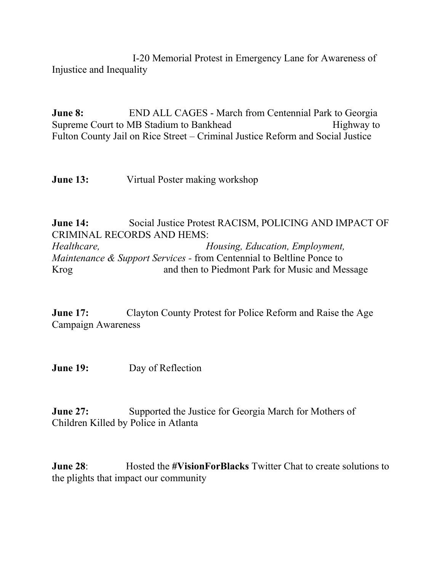I-20 Memorial Protest in Emergency Lane for Awareness of Injustice and Inequality

**June 8:** END ALL CAGES - March from Centennial Park to Georgia Supreme Court to MB Stadium to Bankhead Highway to Fulton County Jail on Rice Street – Criminal Justice Reform and Social Justice

**June 13:** Virtual Poster making workshop

**June 14:** Social Justice Protest RACISM, POLICING AND IMPACT OF CRIMINAL RECORDS AND HEMS: *Healthcare, Housing, Education, Employment, Maintenance & Support Services -* from Centennial to Beltline Ponce to Krog and then to Piedmont Park for Music and Message

**June 17:** Clayton County Protest for Police Reform and Raise the Age Campaign Awareness

**June 19:** Day of Reflection

**June 27:** Supported the Justice for Georgia March for Mothers of Children Killed by Police in Atlanta

**June 28:** Hosted the #VisionForBlacks Twitter Chat to create solutions to the plights that impact our community